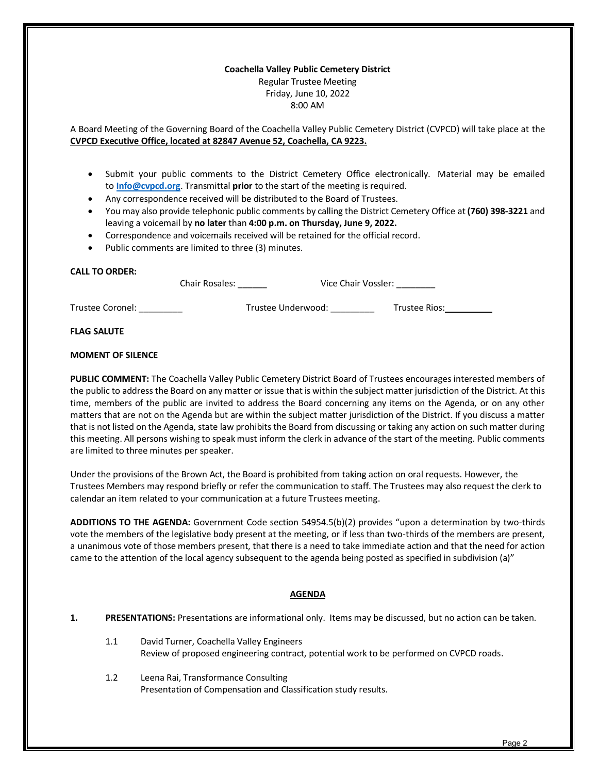### **Coachella Valley Public Cemetery District** Regular Trustee Meeting Friday, June 10, 2022 8:00 AM

A Board Meeting of the Governing Board of the Coachella Valley Public Cemetery District (CVPCD) will take place at the **CVPCD Executive Office, located at 82847 Avenue 52, Coachella, CA 9223.**

- Submit your public comments to the District Cemetery Office electronically. Material may be emailed to **[Info@cvpcd.org](mailto:Info@cvpcd.org)**. Transmittal **prior** to the start of the meeting is required.
- Any correspondence received will be distributed to the Board of Trustees.
- You may also provide telephonic public comments by calling the District Cemetery Office at **(760) 398-3221** and leaving a voicemail by **no later** than **4:00 p.m. on Thursday, June 9, 2022.**
- Correspondence and voicemails received will be retained for the official record.
- Public comments are limited to three (3) minutes.

# **CALL TO ORDER:**

| <b>Chair Rosales:</b> | Vice Chair Vossler: |
|-----------------------|---------------------|
|                       |                     |

Trustee Coronel: \_\_\_\_\_\_\_\_\_ Trustee Underwood: \_\_\_\_\_\_\_\_\_ Trustee Rios:

#### **FLAG SALUTE**

### **MOMENT OF SILENCE**

**PUBLIC COMMENT:** The Coachella Valley Public Cemetery District Board of Trustees encourages interested members of the public to address the Board on any matter or issue that is within the subject matter jurisdiction of the District. At this time, members of the public are invited to address the Board concerning any items on the Agenda, or on any other matters that are not on the Agenda but are within the subject matter jurisdiction of the District. If you discuss a matter that is not listed on the Agenda, state law prohibits the Board from discussing or taking any action on such matter during this meeting. All persons wishing to speak must inform the clerk in advance of the start of the meeting. Public comments are limited to three minutes per speaker.

Under the provisions of the Brown Act, the Board is prohibited from taking action on oral requests. However, the Trustees Members may respond briefly or refer the communication to staff. The Trustees may also request the clerk to calendar an item related to your communication at a future Trustees meeting.

**ADDITIONS TO THE AGENDA:** Government Code section 54954.5(b)(2) provides "upon a determination by two-thirds vote the members of the legislative body present at the meeting, or if less than two-thirds of the members are present, a unanimous vote of those members present, that there is a need to take immediate action and that the need for action came to the attention of the local agency subsequent to the agenda being posted as specified in subdivision (a)"

# **AGENDA**

- **1. PRESENTATIONS:** Presentations are informational only. Items may be discussed, but no action can be taken.
	- 1.1 David Turner, Coachella Valley Engineers [Review of proposed engineering contract, potential work to be performed on CVPCD roads.](#page--1-0)
	- 1.2 Leena Rai, Transformance Consulting [Presentation of Compensation and Classification study results.](#page--1-0)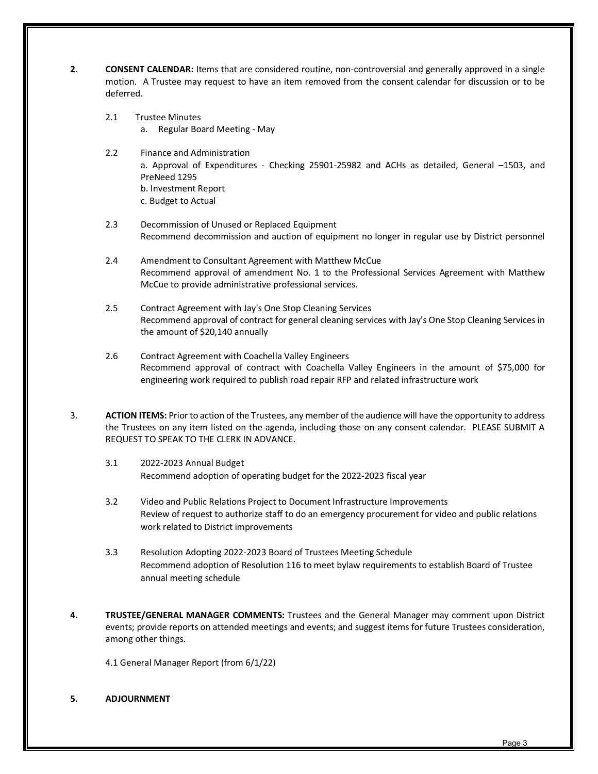- **2. CONSENT CALENDAR:** Items that are considered routine, non-controversial and generally approved in a single motion. A Trustee may request to have an item removed from the consent calendar for discussion or to be deferred.
	- 2.1 Trustee Minutes
		- a. [Regular Board Meeting -](#page--1-0) May
	- 2.2 Finance and Administration a. Approval of Expenditures - [Checking 25901-25982 and ACHs as detailed, General](#page--1-0) –1503, and PreNeed 1295 b. Investment Report c. Budget to Actual
	- 2.3 Decommission of Unused or Replaced Equipment Recommend [decommission and auction of equipment no longer in regular use by District personnel](#page--1-0)
	- 2.4 Amendment to Consultant Agreement with Matthew McCue Recommend approval of [amendment No. 1 to the Professional Services Agreement with Matthew](#page--1-0)  McCue to provide administrative professional services.
	- 2.5 Contract Agreement with Jay's One Stop Cleaning Services [Recommend approval of contract for general cleaning services](#page--1-0) with Jay's One Stop Cleaning Services in the amount of \$20,140 annually
	- 2.6 Contract Agreement with Coachella Valley Engineers [Recommend approval of contract with Coachella Valley Engineers in the amount](#page--1-0) of \$75,000 for engineering work required to publish road repair RFP and related infrastructure work
- 3. **ACTION ITEMS:** Prior to action of the Trustees, any member of the audience will have the opportunity to address the Trustees on any item listed on the agenda, including those on any consent calendar. PLEASE SUBMIT A REQUEST TO SPEAK TO THE CLERK IN ADVANCE.
	- 3.1 2022-2023 Annual Budget Recommend adoption of [operating budget for the 2022-2023 fiscal year](#page--1-0)
	- 3.2 Video and Public Relations Project to Document Infrastructure Improvements [Review of request to authorize staff to do an emergency procurement for video and public relations](#page--1-0)  work related to District improvements
	- 3.3 [Resolution Adopting 2022-2023 Board of Trustees Meeting Schedule](#page--1-0) Recommend adoption of Resolution 116 to meet bylaw requirements to establish Board of Trustee annual meeting schedule
- **4. TRUSTEE/GENERAL MANAGER COMMENTS:** Trustees and the General Manager may comment upon District events; provide reports on attended meetings and events; and suggest items for future Trustees consideration, among other things.

[4.1 General Manager Report](#page--1-0) (from 6/1/22)

**5. ADJOURNMENT**